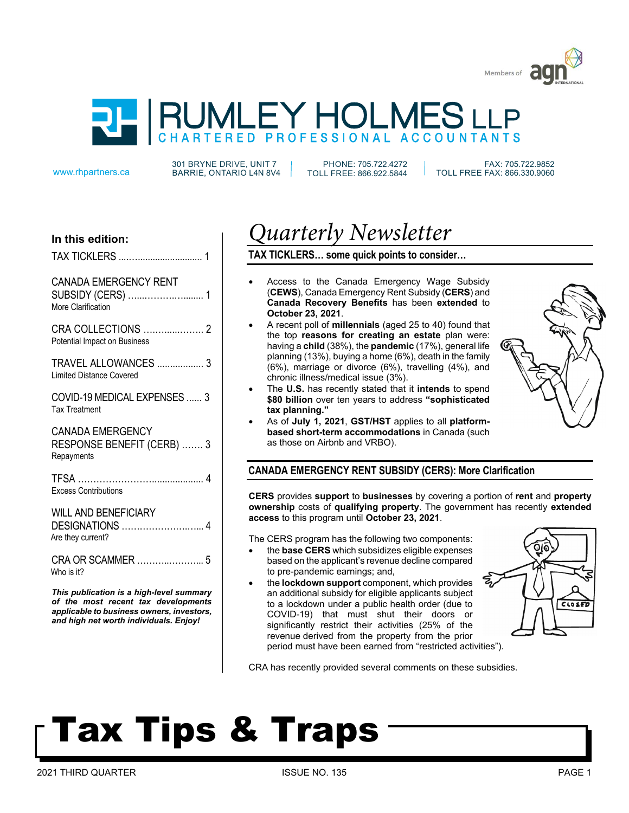



301 BRYNE DRIVE, UNIT 7 www.rhpartners.ca BARRIE, ONTARIO L4N 8V4

PHONE: 705.722.4272 TOLL FREE: 866.922.5844

 FAX: 705.722.9852 TOLL FREE FAX: 866.330.9060

# **In this edition:**

|  |  | <b>TAX TICKLERS </b> |  |
|--|--|----------------------|--|
|--|--|----------------------|--|

#### CANADA EMERGENCY RENT SUBSIDY *(CERS)* 1

| SUBSIDY (CERS)     |  |  |  |
|--------------------|--|--|--|
| More Clarification |  |  |  |

CRA COLLECTIONS ….…......…….. 2 Potential Impact on Business

TRAVEL ALLOWANCES .................. 3 Limited Distance Covered

COVID-19 MEDICAL EXPENSES ...... 3 Tax Treatment

### CANADA EMERGENCY RESPONSE BENEFIT (CERB) ……. 3 **Repayments**

| <b>Excess Contributions</b> |  |
|-----------------------------|--|

# WILL AND BENEFICIARY

| Are they current? |  |
|-------------------|--|

CRA OR SCAMMER ………..………... 5 Who is it?

*This publication is a high-level summary of the most recent tax developments applicable to business owners, investors, and high net worth individuals. Enjoy!* 

# *Quarterly Newsletter*

# **TAX TICKLERS… some quick points to consider…**

- Access to the Canada Emergency Wage Subsidy (**CEWS**), Canada Emergency Rent Subsidy (**CERS**) and **Canada Recovery Benefits** has been **extended** to **October 23, 2021**.
- A recent poll of **millennials** (aged 25 to 40) found that the top **reasons for creating an estate** plan were: having a **child** (38%), the **pandemic** (17%), general life planning (13%), buying a home (6%), death in the family (6%), marriage or divorce (6%), travelling (4%), and chronic illness/medical issue (3%).
- The **U.S.** has recently stated that it **intends** to spend **\$80 billion** over ten years to address **"sophisticated tax planning."**
- As of **July 1, 2021**, **GST/HST** applies to all **platformbased short-term accommodations** in Canada (such as those on Airbnb and VRBO).

# **CANADA EMERGENCY RENT SUBSIDY (CERS): More Clarification**

**CERS** provides **support** to **businesses** by covering a portion of **rent** and **property ownership** costs of **qualifying property**. The government has recently **extended access** to this program until **October 23, 2021**.

The CERS program has the following two components:

- the **base CERS** which subsidizes eligible expenses based on the applicant's revenue decline compared to pre-pandemic earnings; and,
- the **lockdown support** component, which provides an additional subsidy for eligible applicants subject to a lockdown under a public health order (due to COVID-19) that must shut their doors or significantly restrict their activities (25% of the revenue derived from the property from the prior period must have been earned from "restricted activities").



CRA has recently provided several comments on these subsidies.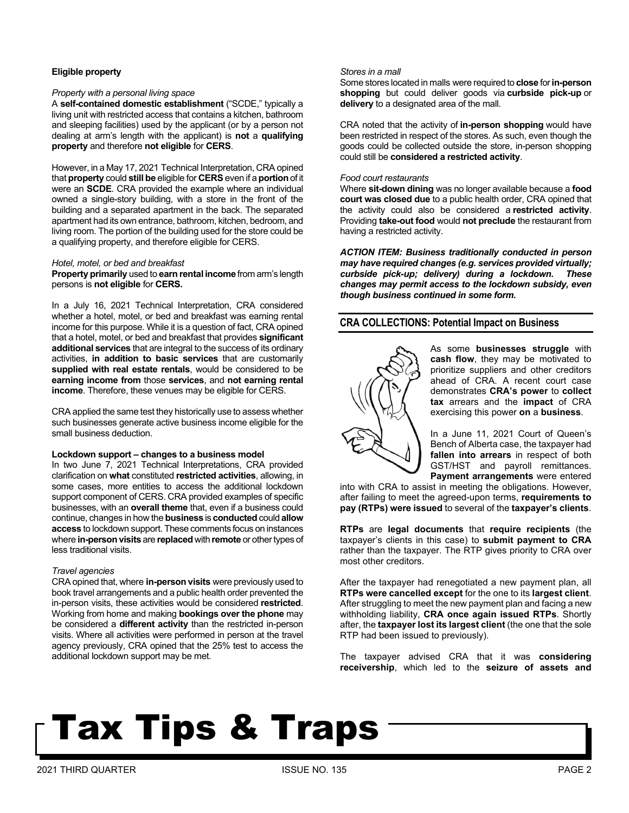### **Eligible property**

#### *Property with a personal living space*

A **self-contained domestic establishment** ("SCDE," typically a living unit with restricted access that contains a kitchen, bathroom and sleeping facilities) used by the applicant (or by a person not dealing at arm's length with the applicant) is **not** a **qualifying property** and therefore **not eligible** for **CERS**.

However, in a May 17, 2021 Technical Interpretation, CRA opined that **property** could **still be** eligible for **CERS** even if a **portion** of it were an **SCDE**. CRA provided the example where an individual owned a single-story building, with a store in the front of the building and a separated apartment in the back. The separated apartment had its own entrance, bathroom, kitchen, bedroom, and living room. The portion of the building used for the store could be a qualifying property, and therefore eligible for CERS.

#### *Hotel, motel, or bed and breakfast*

**Property primarily** used to **earn rental income** from arm's length persons is **not eligible** for **CERS.** 

In a July 16, 2021 Technical Interpretation, CRA considered whether a hotel, motel, or bed and breakfast was earning rental income for this purpose. While it is a question of fact, CRA opined that a hotel, motel, or bed and breakfast that provides **significant additional services** that are integral to the success of its ordinary activities, **in addition to basic services** that are customarily **supplied with real estate rentals**, would be considered to be **earning income from** those **services**, and **not earning rental income**. Therefore, these venues may be eligible for CERS.

CRA applied the same test they historically use to assess whether such businesses generate active business income eligible for the small business deduction.

#### **Lockdown support – changes to a business model**

In two June 7, 2021 Technical Interpretations, CRA provided clarification on **what** constituted **restricted activities**, allowing, in some cases, more entities to access the additional lockdown support component of CERS. CRA provided examples of specific businesses, with an **overall theme** that, even if a business could continue, changes in how the **business** is **conducted** could **allow access** to lockdown support. These comments focus on instances where **in-person visits** are **replaced** with **remote** or other types of less traditional visits.

#### *Travel agencies*

CRA opined that, where **in-person visits** were previously used to book travel arrangements and a public health order prevented the in-person visits, these activities would be considered **restricted**. Working from home and making **bookings over the phone** may be considered a **different activity** than the restricted in-person visits. Where all activities were performed in person at the travel agency previously, CRA opined that the 25% test to access the additional lockdown support may be met.

#### *Stores in a mall*

Some stores located in malls were required to **close** for **in-person shopping** but could deliver goods via **curbside pick-up** or **delivery** to a designated area of the mall.

CRA noted that the activity of **in-person shopping** would have been restricted in respect of the stores. As such, even though the goods could be collected outside the store, in-person shopping could still be **considered a restricted activity**.

#### *Food court restaurants*

Where **sit-down dining** was no longer available because a **food court was closed due** to a public health order, CRA opined that the activity could also be considered a **restricted activity**. Providing **take-out food** would **not preclude** the restaurant from having a restricted activity.

*ACTION ITEM: Business traditionally conducted in person may have required changes (e.g. services provided virtually; curbside pick-up; delivery) during a lockdown. These changes may permit access to the lockdown subsidy, even though business continued in some form.* 

# **CRA COLLECTIONS: Potential Impact on Business**



As some **businesses struggle** with **cash flow**, they may be motivated to prioritize suppliers and other creditors ahead of CRA. A recent court case demonstrates **CRA's power** to **collect tax** arrears and the **impact** of CRA exercising this power **on** a **business**.

In a June 11, 2021 Court of Queen's Bench of Alberta case, the taxpayer had **fallen into arrears** in respect of both GST/HST and payroll remittances. **Payment arrangements** were entered

into with CRA to assist in meeting the obligations. However, after failing to meet the agreed-upon terms, **requirements to pay (RTPs) were issued** to several of the **taxpayer's clients**.

**RTPs** are **legal documents** that **require recipients** (the taxpayer's clients in this case) to **submit payment to CRA** rather than the taxpayer. The RTP gives priority to CRA over most other creditors.

After the taxpayer had renegotiated a new payment plan, all **RTPs were cancelled except** for the one to its **largest client**. After struggling to meet the new payment plan and facing a new withholding liability, **CRA once again issued RTPs**. Shortly after, the **taxpayer lost its largest client** (the one that the sole RTP had been issued to previously).

The taxpayer advised CRA that it was **considering receivership**, which led to the **seizure of assets and**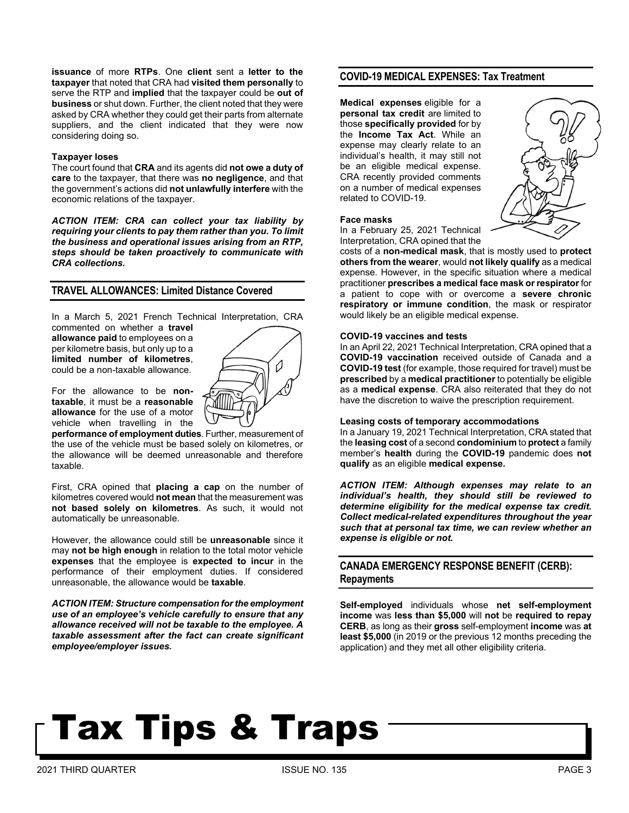**issuance** of more **RTPs**. One **client** sent a **letter to the taxpayer** that noted that CRA had **visited them personally** to serve the RTP and **implied** that the taxpayer could be **out of business** or shut down. Further, the client noted that they were asked by CRA whether they could get their parts from alternate suppliers, and the client indicated that they were now considering doing so.

#### **Taxpayer loses**

The court found that **CRA** and its agents did **not owe a duty of care** to the taxpayer, that there was **no negligence**, and that the government's actions did **not unlawfully interfere** with the economic relations of the taxpayer.

*ACTION ITEM: CRA can collect your tax liability by requiring your clients to pay them rather than you. To limit the business and operational issues arising from an RTP, steps should be taken proactively to communicate with CRA collections.* 

### **TRAVEL ALLOWANCES: Limited Distance Covered**

In a March 5, 2021 French Technical Interpretation, CRA commented on whether a **travel** 

**allowance paid** to employees on a per kilometre basis, but only up to a **limited number of kilometres**, could be a non-taxable allowance.



For the allowance to be **nontaxable**, it must be a **reasonable allowance** for the use of a motor vehicle when travelling in the

**performance of employment duties**. Further, measurement of the use of the vehicle must be based solely on kilometres, or the allowance will be deemed unreasonable and therefore taxable.

First, CRA opined that **placing a cap** on the number of kilometres covered would **not mean** that the measurement was **not based solely on kilometres**. As such, it would not automatically be unreasonable.

However, the allowance could still be **unreasonable** since it may **not be high enough** in relation to the total motor vehicle **expenses** that the employee is **expected to incur** in the performance of their employment duties. If considered unreasonable, the allowance would be **taxable**.

*ACTION ITEM: Structure compensation for the employment use of an employee's vehicle carefully to ensure that any allowance received will not be taxable to the employee. A taxable assessment after the fact can create significant employee/employer issues.*

### **COVID-19 MEDICAL EXPENSES: Tax Treatment**

**Medical expenses** eligible for a **personal tax credit** are limited to those **specifically provided** for by the **Income Tax Act**. While an expense may clearly relate to an individual's health, it may still not be an eligible medical expense. CRA recently provided comments on a number of medical expenses related to COVID-19.

#### **Face masks**

In a February 25, 2021 Technical Interpretation, CRA opined that the

costs of a **non-medical mask**, that is mostly used to **protect others from the wearer**, would **not likely qualify** as a medical expense. However, in the specific situation where a medical practitioner **prescribes a medical face mask or respirator** for a patient to cope with or overcome a **severe chronic respiratory or immune condition**, the mask or respirator would likely be an eligible medical expense.

#### **COVID-19 vaccines and tests**

In an April 22, 2021 Technical Interpretation, CRA opined that a **COVID-19 vaccination** received outside of Canada and a **COVID-19 test** (for example, those required for travel) must be **prescribed** by a **medical practitioner** to potentially be eligible as a **medical expense**. CRA also reiterated that they do not have the discretion to waive the prescription requirement.

#### **Leasing costs of temporary accommodations**

In a January 19, 2021 Technical Interpretation, CRA stated that the **leasing cost** of a second **condominium** to **protect** a family member's **health** during the **COVID-19** pandemic does **not qualify** as an eligible **medical expense.**

*ACTION ITEM: Although expenses may relate to an individual's health, they should still be reviewed to determine eligibility for the medical expense tax credit. Collect medical-related expenditures throughout the year such that at personal tax time, we can review whether an expense is eligible or not.* 

# **CANADA EMERGENCY RESPONSE BENEFIT (CERB): Repayments**

**Self-employed** individuals whose **net self-employment income** was **less than \$5,000** will **not** be **required to repay CERB**, as long as their **gross** self-employment **income** was **at least \$5,000** (in 2019 or the previous 12 months preceding the application) and they met all other eligibility criteria.

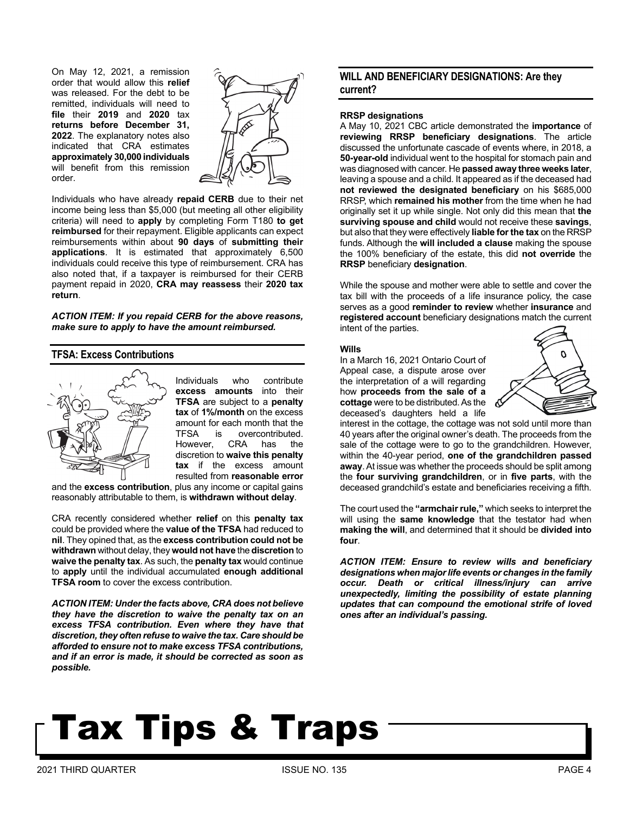On May 12, 2021, a remission order that would allow this **relief** was released. For the debt to be remitted, individuals will need to **file** their **2019** and **2020** tax **returns before December 31, 2022**. The explanatory notes also indicated that CRA estimates **approximately 30,000 individuals**  will benefit from this remission order.



Individuals who have already **repaid CERB** due to their net income being less than \$5,000 (but meeting all other eligibility criteria) will need to **apply** by completing Form T180 **to get reimbursed** for their repayment. Eligible applicants can expect reimbursements within about **90 days** of **submitting their applications**. It is estimated that approximately 6,500 individuals could receive this type of reimbursement. CRA has also noted that, if a taxpayer is reimbursed for their CERB payment repaid in 2020, **CRA may reassess** their **2020 tax return**.

*ACTION ITEM: If you repaid CERB for the above reasons, make sure to apply to have the amount reimbursed.*

# **TFSA: Excess Contributions**



Individuals who contribute **excess amounts** into their **TFSA** are subject to a **penalty tax** of **1%/month** on the excess amount for each month that the TFSA is overcontributed. However, CRA has the discretion to **waive this penalty tax** if the excess amount resulted from **reasonable error** 

and the **excess contribution**, plus any income or capital gains reasonably attributable to them, is **withdrawn without delay**.

CRA recently considered whether **relief** on this **penalty tax**  could be provided where the **value of the TFSA** had reduced to **nil**. They opined that, as the **excess contribution could not be withdrawn** without delay, they **would not have** the **discretion** to **waive the penalty tax**. As such, the **penalty tax** would continue to **apply** until the individual accumulated **enough additional TFSA room** to cover the excess contribution.

*ACTION ITEM: Under the facts above, CRA does not believe they have the discretion to waive the penalty tax on an excess TFSA contribution. Even where they have that discretion, they often refuse to waive the tax. Care should be afforded to ensure not to make excess TFSA contributions, and if an error is made, it should be corrected as soon as possible.*

# **WILL AND BENEFICIARY DESIGNATIONS: Are they current?**

#### **RRSP designations**

A May 10, 2021 CBC article demonstrated the **importance** of **reviewing RRSP beneficiary designations**. The article discussed the unfortunate cascade of events where, in 2018, a **50-year-old** individual went to the hospital for stomach pain and was diagnosed with cancer. He **passed away three weeks later**, leaving a spouse and a child. It appeared as if the deceased had **not reviewed the designated beneficiary** on his \$685,000 RRSP, which **remained his mother** from the time when he had originally set it up while single. Not only did this mean that **the surviving spouse and child** would not receive these **savings**, but also that they were effectively **liable for the tax** on the RRSP funds. Although the **will included a clause** making the spouse the 100% beneficiary of the estate, this did **not override** the **RRSP** beneficiary **designation**.

While the spouse and mother were able to settle and cover the tax bill with the proceeds of a life insurance policy, the case serves as a good **reminder to review** whether **insurance** and **registered account** beneficiary designations match the current intent of the parties.

#### **Wills**

In a March 16, 2021 Ontario Court of Appeal case, a dispute arose over the interpretation of a will regarding how **proceeds from the sale of a cottage** were to be distributed. As the deceased's daughters held a life



interest in the cottage, the cottage was not sold until more than 40 years after the original owner's death. The proceeds from the sale of the cottage were to go to the grandchildren. However, within the 40-year period, **one of the grandchildren passed away**. At issue was whether the proceeds should be split among the **four surviving grandchildren**, or in **five parts**, with the deceased grandchild's estate and beneficiaries receiving a fifth.

The court used the **"armchair rule,"** which seeks to interpret the will using the **same knowledge** that the testator had when **making the will**, and determined that it should be **divided into four**.

*ACTION ITEM: Ensure to review wills and beneficiary designations when major life events or changes in the family occur. Death or critical illness/injury can arrive unexpectedly, limiting the possibility of estate planning updates that can compound the emotional strife of loved ones after an individual's passing.*